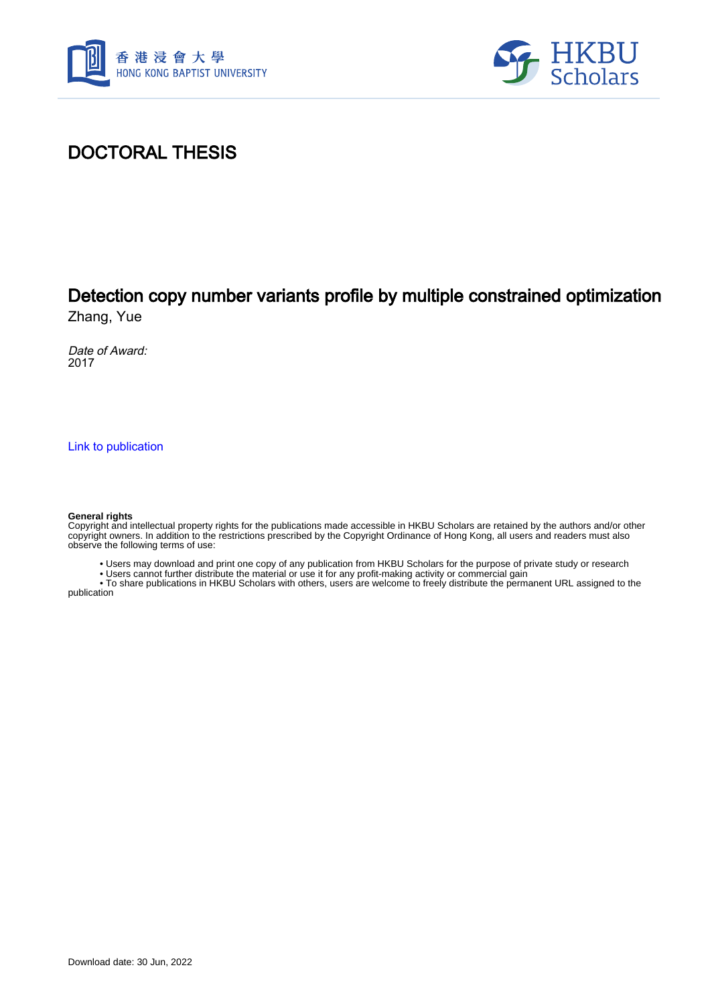



### DOCTORAL THESIS

# Detection copy number variants profile by multiple constrained optimization

Zhang, Yue

Date of Award: 2017

[Link to publication](https://scholars.hkbu.edu.hk/en/studentTheses/7b5c5a30-b11e-4dc4-adbd-ef0304e11d24)

#### **General rights**

Copyright and intellectual property rights for the publications made accessible in HKBU Scholars are retained by the authors and/or other copyright owners. In addition to the restrictions prescribed by the Copyright Ordinance of Hong Kong, all users and readers must also observe the following terms of use:

• Users may download and print one copy of any publication from HKBU Scholars for the purpose of private study or research

• Users cannot further distribute the material or use it for any profit-making activity or commercial gain

 • To share publications in HKBU Scholars with others, users are welcome to freely distribute the permanent URL assigned to the publication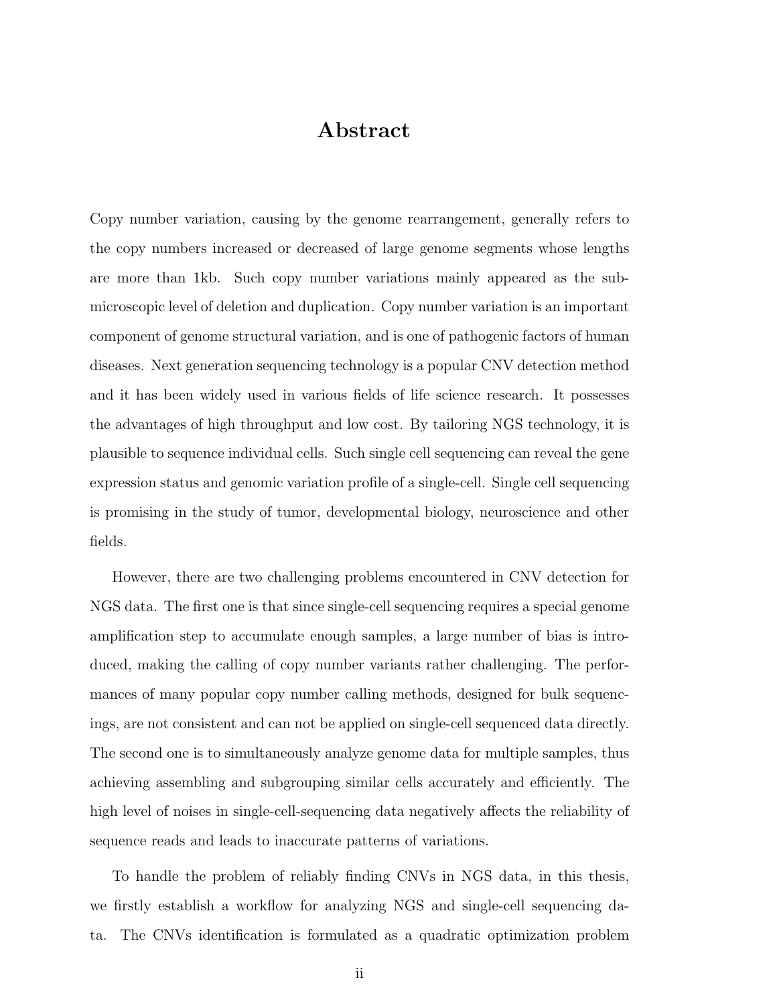#### Abstract

Copy number variation, causing by the genome rearrangement, generally refers to the copy numbers increased or decreased of large genome segments whose lengths are more than 1kb. Such copy number variations mainly appeared as the submicroscopic level of deletion and duplication. Copy number variation is an important component of genome structural variation, and is one of pathogenic factors of human diseases. Next generation sequencing technology is a popular CNV detection method and it has been widely used in various fields of life science research. It possesses the advantages of high throughput and low cost. By tailoring NGS technology, it is plausible to sequence individual cells. Such single cell sequencing can reveal the gene expression status and genomic variation profile of a single-cell. Single cell sequencing is promising in the study of tumor, developmental biology, neuroscience and other fields.

However, there are two challenging problems encountered in CNV detection for NGS data. The first one is that since single-cell sequencing requires a special genome amplification step to accumulate enough samples, a large number of bias is introduced, making the calling of copy number variants rather challenging. The performances of many popular copy number calling methods, designed for bulk sequencings, are not consistent and can not be applied on single-cell sequenced data directly. The second one is to simultaneously analyze genome data for multiple samples, thus achieving assembling and subgrouping similar cells accurately and efficiently. The high level of noises in single-cell-sequencing data negatively affects the reliability of sequence reads and leads to inaccurate patterns of variations.

To handle the problem of reliably finding CNVs in NGS data, in this thesis, we firstly establish a workflow for analyzing NGS and single-cell sequencing data. The CNVs identification is formulated as a quadratic optimization problem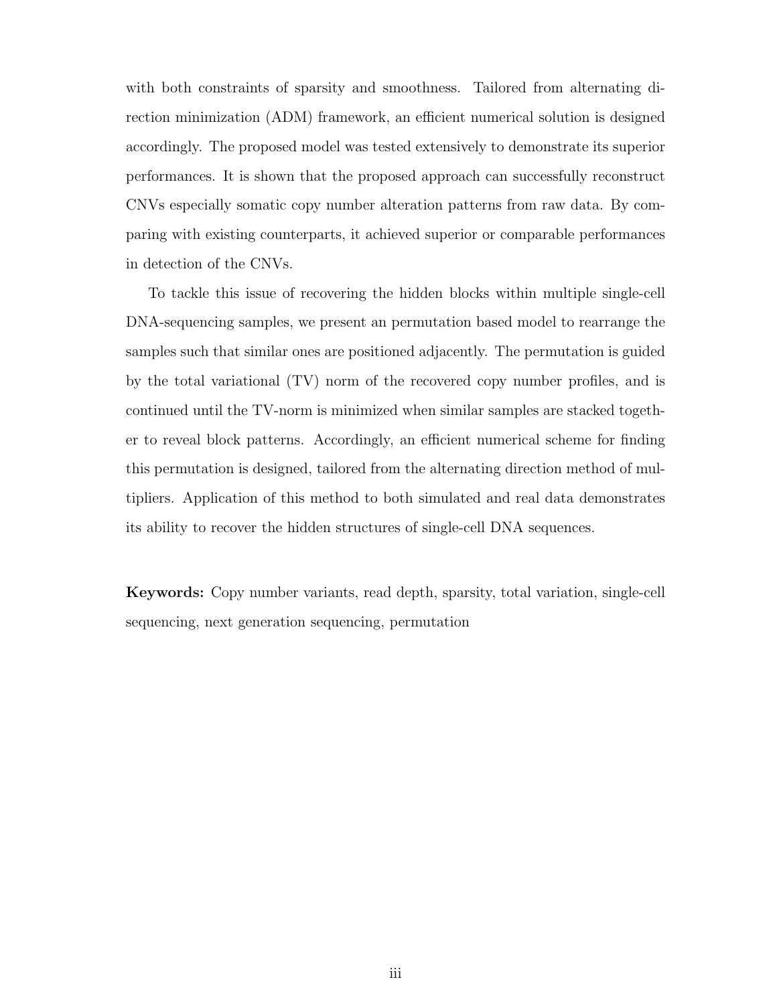with both constraints of sparsity and smoothness. Tailored from alternating direction minimization (ADM) framework, an efficient numerical solution is designed accordingly. The proposed model was tested extensively to demonstrate its superior performances. It is shown that the proposed approach can successfully reconstruct CNVs especially somatic copy number alteration patterns from raw data. By comparing with existing counterparts, it achieved superior or comparable performances in detection of the CNVs.

To tackle this issue of recovering the hidden blocks within multiple single-cell DNA-sequencing samples, we present an permutation based model to rearrange the samples such that similar ones are positioned adjacently. The permutation is guided by the total variational (TV) norm of the recovered copy number profiles, and is continued until the TV-norm is minimized when similar samples are stacked together to reveal block patterns. Accordingly, an efficient numerical scheme for finding this permutation is designed, tailored from the alternating direction method of multipliers. Application of this method to both simulated and real data demonstrates its ability to recover the hidden structures of single-cell DNA sequences.

Keywords: Copy number variants, read depth, sparsity, total variation, single-cell sequencing, next generation sequencing, permutation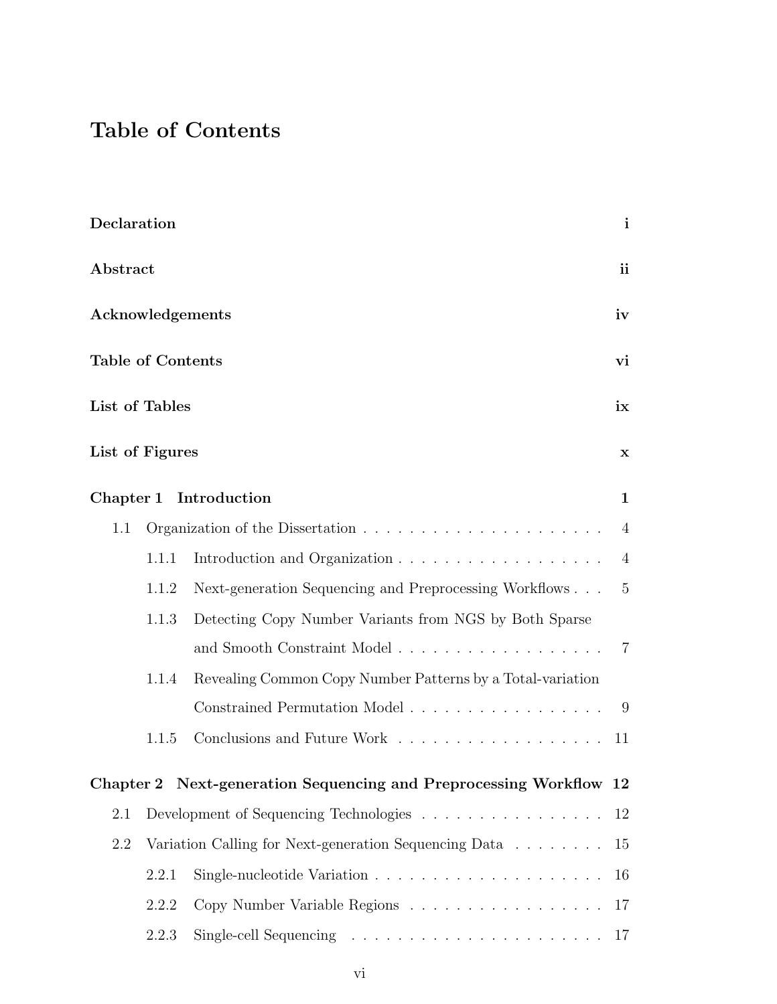## Table of Contents

| Declaration     |                                                       |                                                                                                                                                   | $\mathbf{i}$   |  |  |
|-----------------|-------------------------------------------------------|---------------------------------------------------------------------------------------------------------------------------------------------------|----------------|--|--|
|                 | Abstract                                              |                                                                                                                                                   |                |  |  |
|                 | Acknowledgements<br><b>Table of Contents</b>          |                                                                                                                                                   |                |  |  |
|                 |                                                       |                                                                                                                                                   |                |  |  |
| List of Tables  |                                                       |                                                                                                                                                   | ix             |  |  |
| List of Figures |                                                       |                                                                                                                                                   | $\mathbf x$    |  |  |
|                 |                                                       | Chapter 1 Introduction                                                                                                                            | $\mathbf{1}$   |  |  |
| 1.1             |                                                       |                                                                                                                                                   | $\overline{4}$ |  |  |
|                 | 1.1.1                                                 |                                                                                                                                                   | $\overline{4}$ |  |  |
|                 | 1.1.2                                                 | Next-generation Sequencing and Preprocessing Workflows                                                                                            | $-5$           |  |  |
|                 | 1.1.3                                                 | Detecting Copy Number Variants from NGS by Both Sparse                                                                                            |                |  |  |
|                 |                                                       |                                                                                                                                                   | $\overline{7}$ |  |  |
|                 | 1.1.4                                                 | Revealing Common Copy Number Patterns by a Total-variation                                                                                        |                |  |  |
|                 |                                                       | $\label{eq:constrained-Permutation} \text{Constrained Permutation Model} \; \dots \; \dots \; \dots \; \dots \; \dots \; \dots \; \dots \; \dots$ | -9             |  |  |
|                 | 1.1.5                                                 | Conclusions and Future Work 11                                                                                                                    |                |  |  |
|                 |                                                       | Chapter 2 Next-generation Sequencing and Preprocessing Workflow 12                                                                                |                |  |  |
| 2.1             |                                                       | Development of Sequencing Technologies                                                                                                            | 12             |  |  |
| 2.2             | Variation Calling for Next-generation Sequencing Data |                                                                                                                                                   |                |  |  |
|                 | 2.2.1                                                 |                                                                                                                                                   | 16             |  |  |
|                 | 2.2.2                                                 | Copy Number Variable Regions                                                                                                                      | <b>17</b>      |  |  |
|                 | 2.2.3                                                 |                                                                                                                                                   |                |  |  |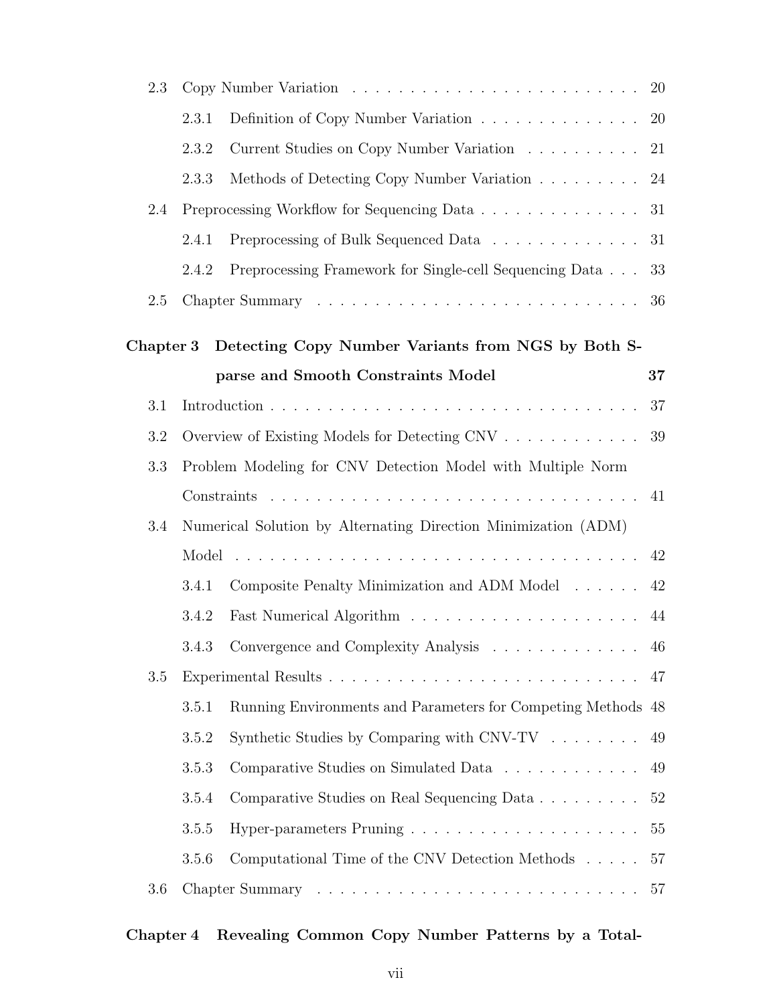| 2.3       |                                                             |                                                                | 20        |  |
|-----------|-------------------------------------------------------------|----------------------------------------------------------------|-----------|--|
|           | 2.3.1                                                       | Definition of Copy Number Variation                            | <b>20</b> |  |
|           | 2.3.2                                                       | Current Studies on Copy Number Variation                       | 21        |  |
|           | 2.3.3                                                       | Methods of Detecting Copy Number Variation                     | 24        |  |
| 2.4       |                                                             | Preprocessing Workflow for Sequencing Data                     | 31        |  |
|           | 2.4.1                                                       | Preprocessing of Bulk Sequenced Data                           | 31        |  |
|           | 2.4.2                                                       | Preprocessing Framework for Single-cell Sequencing Data        | 33        |  |
| 2.5       |                                                             |                                                                | 36        |  |
| Chapter 3 |                                                             | Detecting Copy Number Variants from NGS by Both S-             |           |  |
|           |                                                             | parse and Smooth Constraints Model                             | 37        |  |
| 3.1       |                                                             |                                                                | 37        |  |
| 3.2       |                                                             | Overview of Existing Models for Detecting CNV                  | 39        |  |
| 3.3       | Problem Modeling for CNV Detection Model with Multiple Norm |                                                                |           |  |
|           |                                                             |                                                                | 41        |  |
| 3.4       |                                                             | Numerical Solution by Alternating Direction Minimization (ADM) |           |  |
|           |                                                             |                                                                |           |  |
|           | 3.4.1                                                       | Composite Penalty Minimization and ADM Model                   | 42<br>42  |  |
|           | 3.4.2                                                       |                                                                | 44        |  |
|           |                                                             | 3.4.3 Convergence and Complexity Analysis 46                   |           |  |
| 3.5       |                                                             |                                                                | 47        |  |
|           | 3.5.1                                                       | Running Environments and Parameters for Competing Methods 48   |           |  |
|           | 3.5.2                                                       | Synthetic Studies by Comparing with $CNV-TV$                   | 49        |  |
|           | 3.5.3                                                       | Comparative Studies on Simulated Data                          | 49        |  |
|           |                                                             |                                                                |           |  |
|           | 3.5.4                                                       | Comparative Studies on Real Sequencing Data                    | 52        |  |
|           | 3.5.5                                                       |                                                                | 55        |  |
|           | 3.5.6                                                       | Computational Time of the CNV Detection Methods                | 57<br>57  |  |
| 3.6       |                                                             |                                                                |           |  |

#### Chapter 4 Revealing Common Copy Number Patterns by a Total-